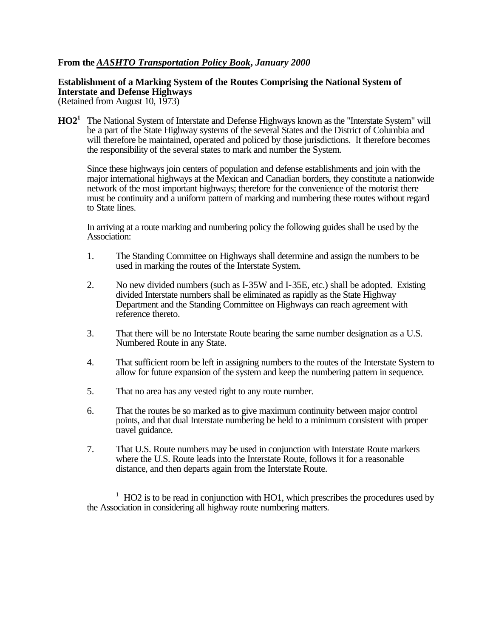## **From the** *AASHTO Transportation Policy Book***,** *January 2000*

## **Establishment of a Marking System of the Routes Comprising the National System of Interstate and Defense Highways**

(Retained from August 10, 1973)

**HO2<sup>1</sup>** The National System of Interstate and Defense Highways known as the "Interstate System" will be a part of the State Highway systems of the several States and the District of Columbia and will therefore be maintained, operated and policed by those jurisdictions. It therefore becomes the responsibility of the several states to mark and number the System.

Since these highways join centers of population and defense establishments and join with the major international highways at the Mexican and Canadian borders, they constitute a nationwide network of the most important highways; therefore for the convenience of the motorist there must be continuity and a uniform pattern of marking and numbering these routes without regard to State lines.

In arriving at a route marking and numbering policy the following guides shall be used by the Association:

- 1. The Standing Committee on Highways shall determine and assign the numbers to be used in marking the routes of the Interstate System.
- 2. No new divided numbers (such as I-35W and I-35E, etc.) shall be adopted. Existing divided Interstate numbers shall be eliminated as rapidly as the State Highway Department and the Standing Committee on Highways can reach agreement with reference thereto.
- 3. That there will be no Interstate Route bearing the same number designation as a U.S. Numbered Route in any State.
- 4. That sufficient room be left in assigning numbers to the routes of the Interstate System to allow for future expansion of the system and keep the numbering pattern in sequence.
- 5. That no area has any vested right to any route number.
- 6. That the routes be so marked as to give maximum continuity between major control points, and that dual Interstate numbering be held to a minimum consistent with proper travel guidance.
- 7. That U.S. Route numbers may be used in conjunction with Interstate Route markers where the U.S. Route leads into the Interstate Route, follows it for a reasonable distance, and then departs again from the Interstate Route.

 $1$  HO2 is to be read in conjunction with HO1, which prescribes the procedures used by the Association in considering all highway route numbering matters.